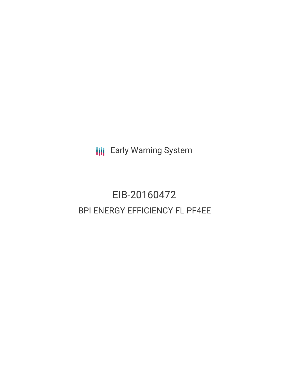**III** Early Warning System

# EIB-20160472 BPI ENERGY EFFICIENCY FL PF4EE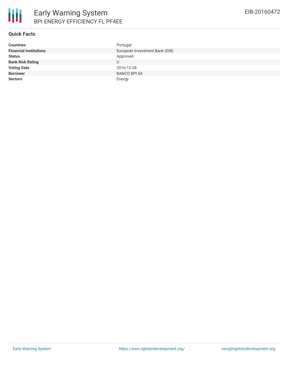

| <b>Countries</b>              | Portugal                       |
|-------------------------------|--------------------------------|
| <b>Financial Institutions</b> | European Investment Bank (EIB) |
| <b>Status</b>                 | Approved                       |
| <b>Bank Risk Rating</b>       | U                              |
| <b>Voting Date</b>            | 2016-12-28                     |
| <b>Borrower</b>               | <b>BANCO BPI SA</b>            |
| <b>Sectors</b>                | Energy                         |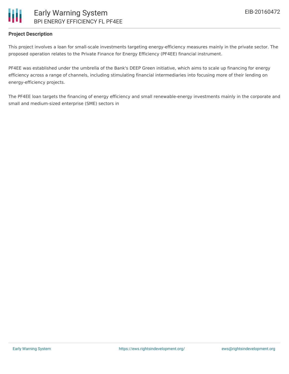# Early Warning System BPI ENERGY EFFICIENCY FL PF4EE

## **Project Description**

This project involves a loan for small-scale investments targeting energy-efficiency measures mainly in the private sector. The proposed operation relates to the Private Finance for Energy Efficiency (PF4EE) financial instrument.

PF4EE was established under the umbrella of the Bank's DEEP Green initiative, which aims to scale up financing for energy efficiency across a range of channels, including stimulating financial intermediaries into focusing more of their lending on energy-efficiency projects.

The PF4EE loan targets the financing of energy efficiency and small renewable-energy investments mainly in the corporate and small and medium-sized enterprise (SME) sectors in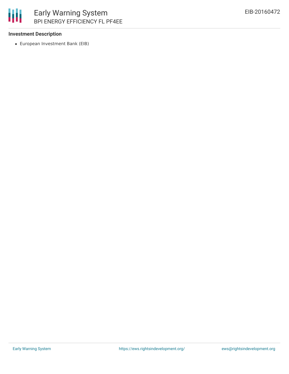

#### **Investment Description**

European Investment Bank (EIB)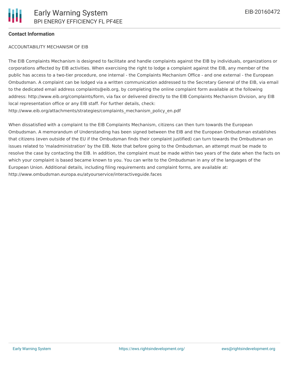### **Contact Information**

#### ACCOUNTABILITY MECHANISM OF EIB

The EIB Complaints Mechanism is designed to facilitate and handle complaints against the EIB by individuals, organizations or corporations affected by EIB activities. When exercising the right to lodge a complaint against the EIB, any member of the public has access to a two-tier procedure, one internal - the Complaints Mechanism Office - and one external - the European Ombudsman. A complaint can be lodged via a written communication addressed to the Secretary General of the EIB, via email to the dedicated email address complaints@eib.org, by completing the online complaint form available at the following address: http://www.eib.org/complaints/form, via fax or delivered directly to the EIB Complaints Mechanism Division, any EIB local representation office or any EIB staff. For further details, check: http://www.eib.org/attachments/strategies/complaints\_mechanism\_policy\_en.pdf

When dissatisfied with a complaint to the EIB Complaints Mechanism, citizens can then turn towards the European Ombudsman. A memorandum of Understanding has been signed between the EIB and the European Ombudsman establishes that citizens (even outside of the EU if the Ombudsman finds their complaint justified) can turn towards the Ombudsman on issues related to 'maladministration' by the EIB. Note that before going to the Ombudsman, an attempt must be made to resolve the case by contacting the EIB. In addition, the complaint must be made within two years of the date when the facts on which your complaint is based became known to you. You can write to the Ombudsman in any of the languages of the European Union. Additional details, including filing requirements and complaint forms, are available at: http://www.ombudsman.europa.eu/atyourservice/interactiveguide.faces